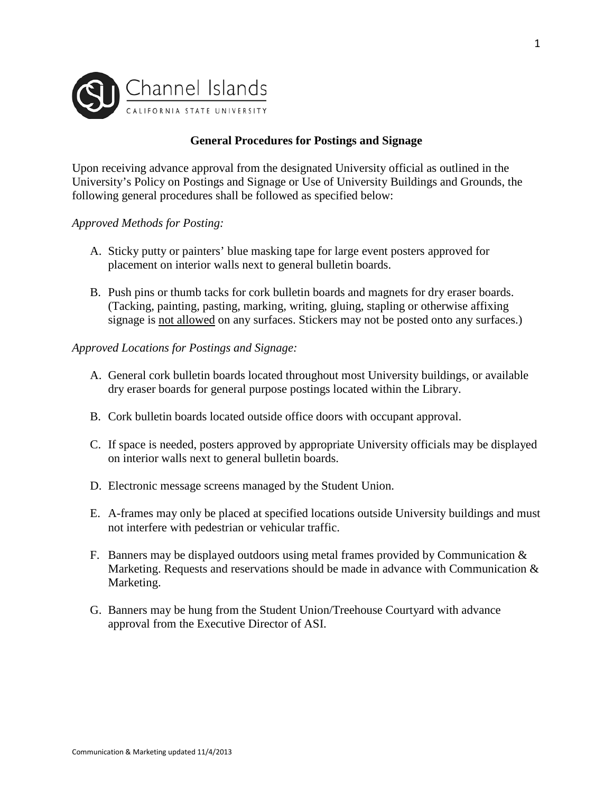

# **General Procedures for Postings and Signage**

Upon receiving advance approval from the designated University official as outlined in the University's Policy on Postings and Signage or Use of University Buildings and Grounds, the following general procedures shall be followed as specified below:

### *Approved Methods for Posting:*

- A. Sticky putty or painters' blue masking tape for large event posters approved for placement on interior walls next to general bulletin boards.
- B. Push pins or thumb tacks for cork bulletin boards and magnets for dry eraser boards. (Tacking, painting, pasting, marking, writing, gluing, stapling or otherwise affixing signage is not allowed on any surfaces. Stickers may not be posted onto any surfaces.)

## *Approved Locations for Postings and Signage:*

- A. General cork bulletin boards located throughout most University buildings, or available dry eraser boards for general purpose postings located within the Library.
- B. Cork bulletin boards located outside office doors with occupant approval.
- C. If space is needed, posters approved by appropriate University officials may be displayed on interior walls next to general bulletin boards.
- D. Electronic message screens managed by the Student Union.
- E. A-frames may only be placed at specified locations outside University buildings and must not interfere with pedestrian or vehicular traffic.
- F. Banners may be displayed outdoors using metal frames provided by Communication  $\&$ Marketing. Requests and reservations should be made in advance with Communication  $\&$ Marketing.
- G. Banners may be hung from the Student Union/Treehouse Courtyard with advance approval from the Executive Director of ASI.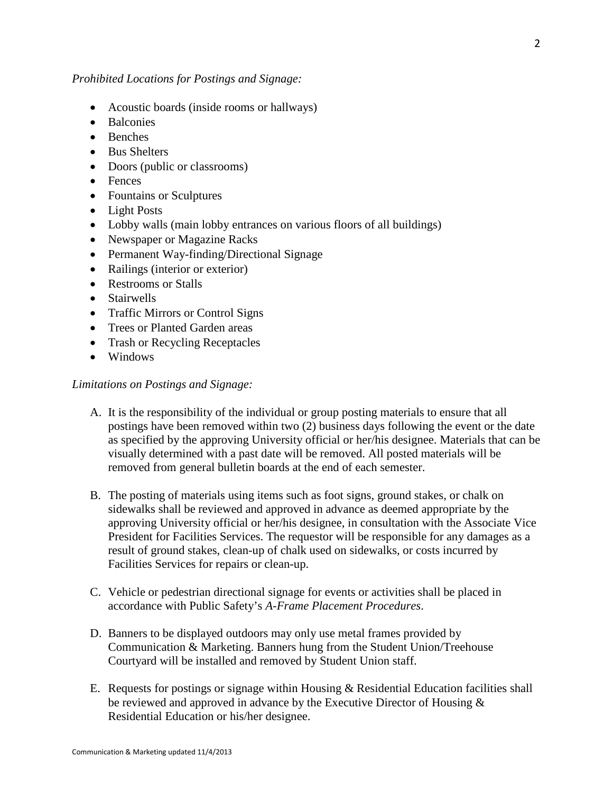## *Prohibited Locations for Postings and Signage:*

- Acoustic boards (inside rooms or hallways)
- Balconies
- Benches
- Bus Shelters
- Doors (public or classrooms)
- Fences
- Fountains or Sculptures
- Light Posts
- Lobby walls (main lobby entrances on various floors of all buildings)
- Newspaper or Magazine Racks
- Permanent Way-finding/Directional Signage
- Railings (interior or exterior)
- Restrooms or Stalls
- Stairwells
- Traffic Mirrors or Control Signs
- Trees or Planted Garden areas
- Trash or Recycling Receptacles
- Windows

### *Limitations on Postings and Signage:*

- A. It is the responsibility of the individual or group posting materials to ensure that all postings have been removed within two (2) business days following the event or the date as specified by the approving University official or her/his designee. Materials that can be visually determined with a past date will be removed. All posted materials will be removed from general bulletin boards at the end of each semester.
- B. The posting of materials using items such as foot signs, ground stakes, or chalk on sidewalks shall be reviewed and approved in advance as deemed appropriate by the approving University official or her/his designee, in consultation with the Associate Vice President for Facilities Services. The requestor will be responsible for any damages as a result of ground stakes, clean-up of chalk used on sidewalks, or costs incurred by Facilities Services for repairs or clean-up.
- C. Vehicle or pedestrian directional signage for events or activities shall be placed in accordance with Public Safety's *A-Frame Placement Procedures*.
- D. Banners to be displayed outdoors may only use metal frames provided by Communication & Marketing. Banners hung from the Student Union/Treehouse Courtyard will be installed and removed by Student Union staff.
- E. Requests for postings or signage within Housing & Residential Education facilities shall be reviewed and approved in advance by the Executive Director of Housing & Residential Education or his/her designee.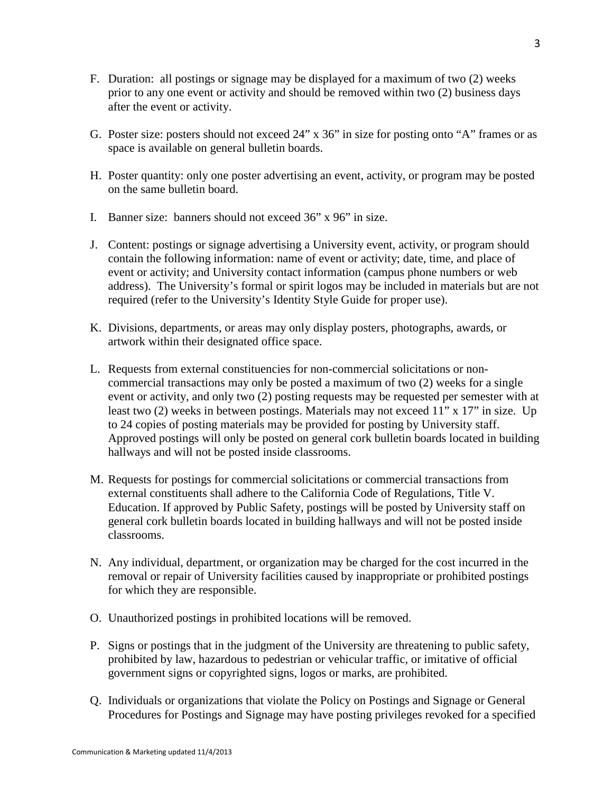- F. Duration: all postings or signage may be displayed for a maximum of two (2) weeks prior to any one event or activity and should be removed within two (2) business days after the event or activity.
- G. Poster size: posters should not exceed 24" x 36" in size for posting onto "A" frames or as space is available on general bulletin boards.
- H. Poster quantity: only one poster advertising an event, activity, or program may be posted on the same bulletin board.
- I. Banner size: banners should not exceed 36" x 96" in size.
- J. Content: postings or signage advertising a University event, activity, or program should contain the following information: name of event or activity; date, time, and place of event or activity; and University contact information (campus phone numbers or web address). The University's formal or spirit logos may be included in materials but are not required (refer to the University's Identity Style Guide for proper use).
- K. Divisions, departments, or areas may only display posters, photographs, awards, or artwork within their designated office space.
- L. Requests from external constituencies for non-commercial solicitations or noncommercial transactions may only be posted a maximum of two (2) weeks for a single event or activity, and only two (2) posting requests may be requested per semester with at least two (2) weeks in between postings. Materials may not exceed 11" x 17" in size. Up to 24 copies of posting materials may be provided for posting by University staff. Approved postings will only be posted on general cork bulletin boards located in building hallways and will not be posted inside classrooms.
- M. Requests for postings for commercial solicitations or commercial transactions from external constituents shall adhere to the California Code of Regulations, Title V. Education. If approved by Public Safety, postings will be posted by University staff on general cork bulletin boards located in building hallways and will not be posted inside classrooms.
- N. Any individual, department, or organization may be charged for the cost incurred in the removal or repair of University facilities caused by inappropriate or prohibited postings for which they are responsible.
- O. Unauthorized postings in prohibited locations will be removed.
- P. Signs or postings that in the judgment of the University are threatening to public safety, prohibited by law, hazardous to pedestrian or vehicular traffic, or imitative of official government signs or copyrighted signs, logos or marks, are prohibited.
- Q. Individuals or organizations that violate the Policy on Postings and Signage or General Procedures for Postings and Signage may have posting privileges revoked for a specified